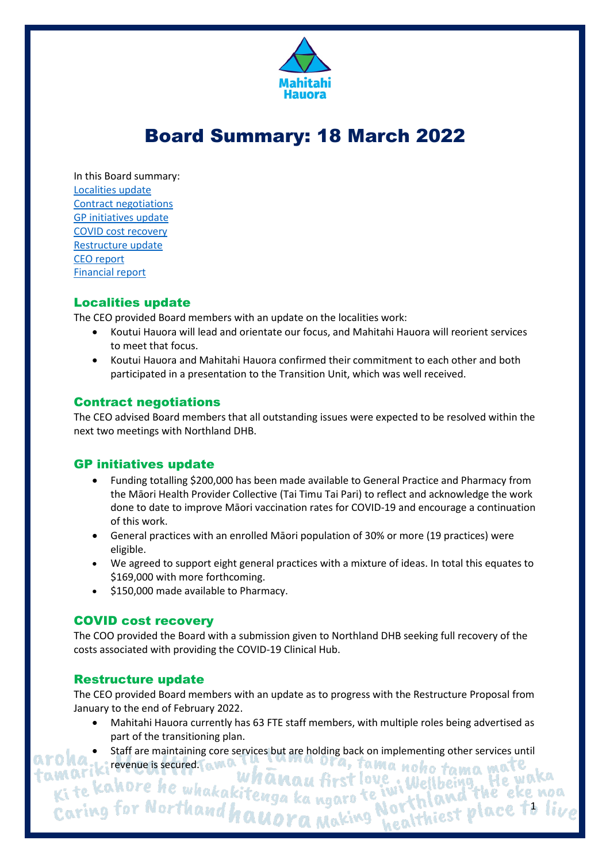

# Board Summary: 18 March 2022

In this Board summary: [Localities update](#page-0-0) [Contract negotiations](#page-0-1) [GP initiatives update](#page-0-2) [COVID cost recovery](#page-0-3) [Restructure update](#page-0-4) [CEO report](#page-1-0) [Financial report](#page-1-1)

#### <span id="page-0-0"></span>Localities update

The CEO provided Board members with an update on the localities work:

- Koutui Hauora will lead and orientate our focus, and Mahitahi Hauora will reorient services to meet that focus.
- Koutui Hauora and Mahitahi Hauora confirmed their commitment to each other and both participated in a presentation to the Transition Unit, which was well received.

## <span id="page-0-1"></span>Contract negotiations

The CEO advised Board members that all outstanding issues were expected to be resolved within the next two meetings with Northland DHB.

#### <span id="page-0-2"></span>GP initiatives update

- Funding totalling \$200,000 has been made available to General Practice and Pharmacy from the Māori Health Provider Collective (Tai Timu Tai Pari) to reflect and acknowledge the work done to date to improve Māori vaccination rates for COVID-19 and encourage a continuation of this work.
- General practices with an enrolled Māori population of 30% or more (19 practices) were eligible.
- We agreed to support eight general practices with a mixture of ideas. In total this equates to \$169,000 with more forthcoming.
- \$150,000 made available to Pharmacy.

#### <span id="page-0-3"></span>COVID cost recovery

The COO provided the Board with a submission given to Northland DHB seeking full recovery of the costs associated with providing the COVID-19 Clinical Hub.

#### <span id="page-0-4"></span>Restructure update

The CEO provided Board members with an update as to progress with the Restructure Proposal from January to the end of February 2022.

- Mahitahi Hauora currently has 63 FTE staff members, with multiple roles being advertised as part of the transitioning plan.
- Staff are maintaining core services but are holding back on implementing other services until

ona.<br>
Eite kahore he whakakitenga ka ngaro te iv<br>
Ki te kahore he whakakitenga ka ngaro te iv<br>
Caring for Northand hauora Making N ama noho tama mate Nellbein9.. orthland ine en<br>lealthiest place 1